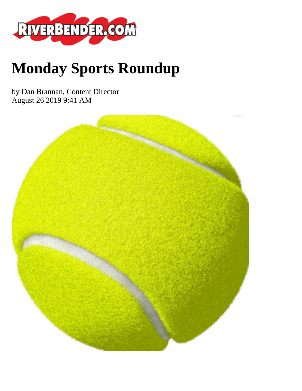

# **Monday Sports Roundup**

by Dan Brannan, Content Director August 26 2019 9:41 AM

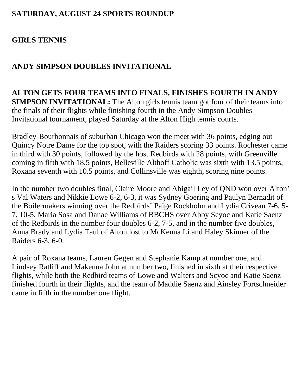#### **SATURDAY, AUGUST 24 SPORTS ROUNDUP**

## **GIRLS TENNIS**

#### **ANDY SIMPSON DOUBLES INVITATIONAL**

**ALTON GETS FOUR TEAMS INTO FINALS, FINISHES FOURTH IN ANDY SIMPSON INVITATIONAL:** The Alton girls tennis team got four of their teams into the finals of their flights while finishing fourth in the Andy Simpson Doubles Invitational tournament, played Saturday at the Alton High tennis courts.

Bradley-Bourbonnais of suburban Chicago won the meet with 36 points, edging out Quincy Notre Dame for the top spot, with the Raiders scoring 33 points. Rochester came in third with 30 points, followed by the host Redbirds with 28 points, with Greenville coming in fifth with 18.5 points, Belleville Althoff Catholic was sixth with 13.5 points, Roxana seventh with 10.5 points, and Collinsville was eighth, scoring nine points.

In the number two doubles final, Claire Moore and Abigail Ley of QND won over Alton' s Val Waters and Nikkie Lowe 6-2, 6-3, it was Sydney Goering and Paulyn Bernadit of the Boilermakers winning over the Redbirds' Paige Rockholm and Lydia Criveau 7-6, 5- 7, 10-5, Maria Sosa and Danae Williams of BBCHS over Abby Scyoc and Katie Saenz of the Redbirds in the number four doubles 6-2, 7-5, and in the number five doubles, Anna Brady and Lydia Taul of Alton lost to McKenna Li and Haley Skinner of the Raiders 6-3, 6-0.

A pair of Roxana teams, Lauren Gegen and Stephanie Kamp at number one, and Lindsey Ratliff and Makenna John at number two, finished in sixth at their respective flights, while both the Redbird teams of Lowe and Walters and Scyoc and Katie Saenz finished fourth in their flights, and the team of Maddie Saenz and Ainsley Fortschneider came in fifth in the number one flight.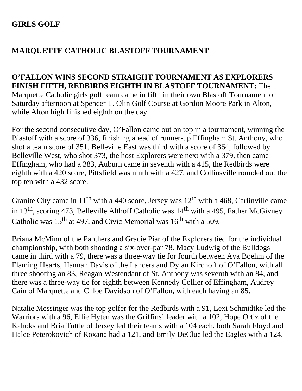## **GIRLS GOLF**

## **MARQUETTE CATHOLIC BLASTOFF TOURNAMENT**

#### **O'FALLON WINS SECOND STRAIGHT TOURNAMENT AS EXPLORERS FINISH FIFTH, REDBIRDS EIGHTH IN BLASTOFF TOURNAMENT:** The Marquette Catholic girls golf team came in fifth in their own Blastoff Tournament on Saturday afternoon at Spencer T. Olin Golf Course at Gordon Moore Park in Alton, while Alton high finished eighth on the day.

For the second consecutive day, O'Fallon came out on top in a tournament, winning the Blastoff with a score of 336, finishing ahead of runner-up Effingham St. Anthony, who shot a team score of 351. Belleville East was third with a score of 364, followed by Belleville West, who shot 373, the host Explorers were next with a 379, then came Effingham, who had a 383, Auburn came in seventh with a 415, the Redbirds were eighth with a 420 score, Pittsfield was ninth with a 427, and Collinsville rounded out the top ten with a 432 score.

Granite City came in  $11^{th}$  with a 440 score, Jersey was  $12^{th}$  with a 468, Carlinville came in 13<sup>th</sup>, scoring 473, Belleville Althoff Catholic was  $14<sup>th</sup>$  with a 495, Father McGivney Catholic was  $15<sup>th</sup>$  at 497, and Civic Memorial was  $16<sup>th</sup>$  with a 509.

Briana McMinn of the Panthers and Gracie Piar of the Explorers tied for the individual championship, with both shooting a six-over-par 78. Macy Ludwig of the Bulldogs came in third with a 79, there was a three-way tie for fourth between Ava Boehm of the Flaming Hearts, Hannah Davis of the Lancers and Dylan Kirchoff of O'Fallon, with all three shooting an 83, Reagan Westendant of St. Anthony was seventh with an 84, and there was a three-way tie for eighth between Kennedy Collier of Effingham, Audrey Cain of Marquette and Chloe Davidson of O'Fallon, with each having an 85.

Natalie Messinger was the top golfer for the Redbirds with a 91, Lexi Schmidtke led the Warriors with a 96, Ellie Hyten was the Griffins' leader with a 102, Hope Ortiz of the Kahoks and Bria Tuttle of Jersey led their teams with a 104 each, both Sarah Floyd and Halee Peterokovich of Roxana had a 121, and Emily DeClue led the Eagles with a 124.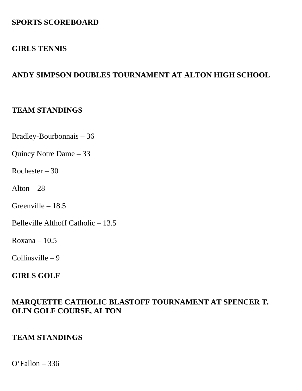## **SPORTS SCOREBOARD**

#### **GIRLS TENNIS**

## **ANDY SIMPSON DOUBLES TOURNAMENT AT ALTON HIGH SCHOOL**

#### **TEAM STANDINGS**

Bradley-Bourbonnais – 36

Quincy Notre Dame – 33

Rochester – 30

Alton  $-28$ 

Greenville – 18.5

Belleville Althoff Catholic – 13.5

 $Roxana - 10.5$ 

Collinsville – 9

#### **GIRLS GOLF**

#### **MARQUETTE CATHOLIC BLASTOFF TOURNAMENT AT SPENCER T. OLIN GOLF COURSE, ALTON**

#### **TEAM STANDINGS**

O'Fallon – 336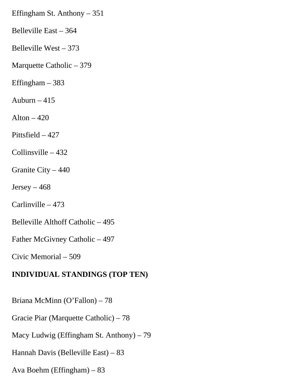Effingham St. Anthony – 351

Belleville East – 364

Belleville West – 373

Marquette Catholic – 379

Effingham – 383

Auburn  $-415$ 

Alton  $-420$ 

Pittsfield – 427

Collinsville – 432

Granite City – 440

 $Jersey - 468$ 

Carlinville – 473

Belleville Althoff Catholic – 495

Father McGivney Catholic – 497

Civic Memorial – 509

#### **INDIVIDUAL STANDINGS (TOP TEN)**

Briana McMinn (O'Fallon) – 78

Gracie Piar (Marquette Catholic) – 78

Macy Ludwig (Effingham St. Anthony) – 79

Hannah Davis (Belleville East) – 83

Ava Boehm (Effingham) – 83